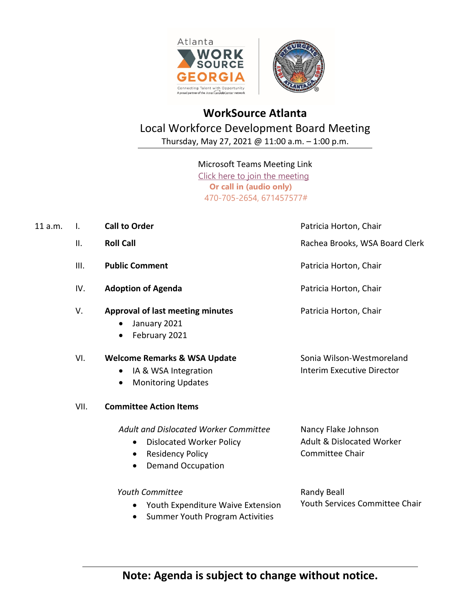

## **WorkSource Atlanta**  Local Workforce Development Board Meeting Thursday, May 27, 2021 @ 11:00 a.m. – 1:00 p.m.

## Microsoft Teams Meeting Link

 Click [here to join the meeting](https://teams.microsoft.com/l/meetup-join/19%3ameeting_OGEyODhkOGItMjQ0OS00ZWYxLTlkM2UtY2Q5YWMwNWViMDdi%40thread.v2/0?context=%7b%22Tid%22%3a%22031a550a-f1f3-4b62-9c64-3ef02c7798a5%22%2c%22Oid%22%3a%22c00e4375-5a1a-4bd1-b849-4b74e5398777%22%7d)  **Or call in (audio only)** 470-705-2654, 671457577#

| 11 a.m. | $\mathbf{L}$ | <b>Call to Order</b>                                                                                                                                   | Patricia Horton, Chair                                                                |
|---------|--------------|--------------------------------------------------------------------------------------------------------------------------------------------------------|---------------------------------------------------------------------------------------|
|         | II.          | <b>Roll Call</b>                                                                                                                                       | Rachea Brooks, WSA Board Clerk                                                        |
|         | Ш.           | <b>Public Comment</b>                                                                                                                                  | Patricia Horton, Chair                                                                |
|         | IV.          | <b>Adoption of Agenda</b>                                                                                                                              | Patricia Horton, Chair                                                                |
|         | V.           | <b>Approval of last meeting minutes</b><br>January 2021<br>$\bullet$<br>February 2021<br>$\bullet$                                                     | Patricia Horton, Chair                                                                |
|         | VI.          | <b>Welcome Remarks &amp; WSA Update</b><br>IA & WSA Integration<br>٠<br><b>Monitoring Updates</b><br>$\bullet$                                         | Sonia Wilson-Westmoreland<br><b>Interim Executive Director</b>                        |
|         | VII.         | <b>Committee Action Items</b>                                                                                                                          |                                                                                       |
|         |              | Adult and Dislocated Worker Committee<br><b>Dislocated Worker Policy</b><br>$\bullet$<br><b>Residency Policy</b><br>٠<br><b>Demand Occupation</b><br>٠ | Nancy Flake Johnson<br><b>Adult &amp; Dislocated Worker</b><br><b>Committee Chair</b> |
|         |              | Youth Committee<br>Youth Expenditure Waive Extension<br>٠<br><b>Summer Youth Program Activities</b>                                                    | Randy Beall<br><b>Youth Services Committee Chair</b>                                  |